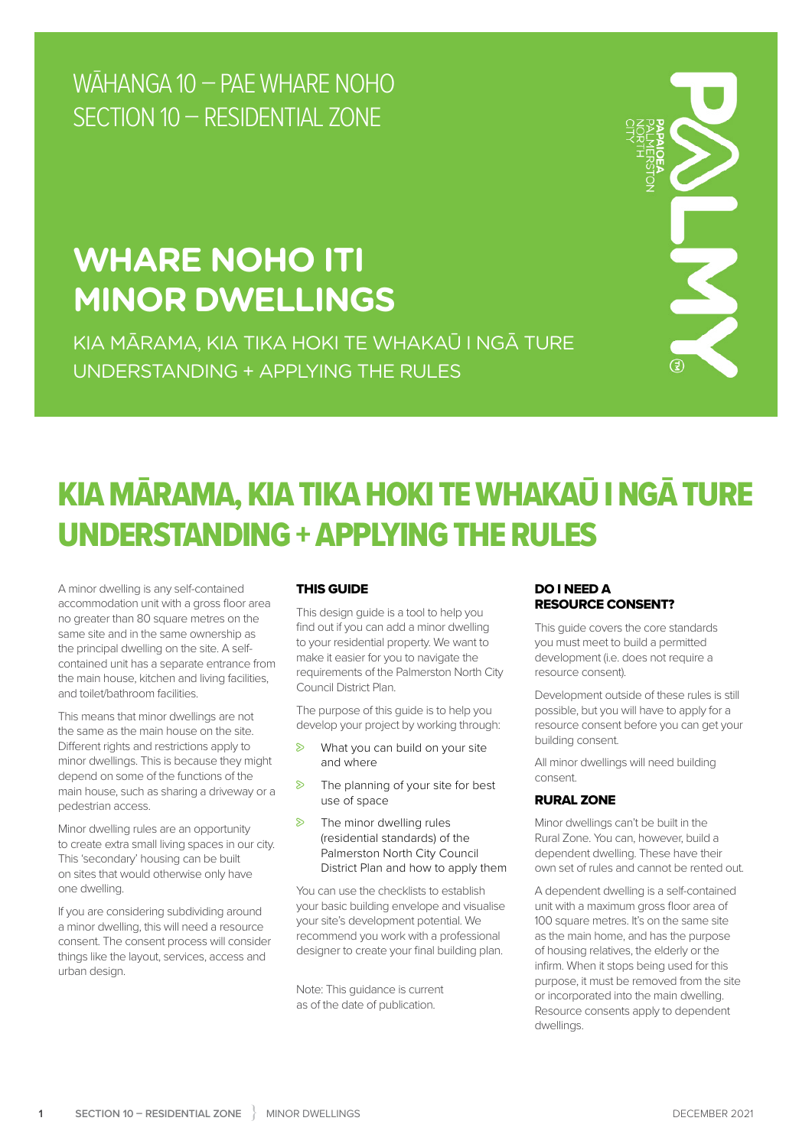WĀHANGA 10 – PAE WHARE NOHO SECTION 10 – RESIDENTIAL ZONE

## **WHARE NOHO ITI MINOR DWELLINGS**

KIA MĀRAMA, KIA TIKA HOKI TE WHAKAŪ I NGĀ TURE UNDERSTANDING + APPLYING THE RULES



## KIA MĀRAMA, KIA TIKA HOKI TE WHAKAŪ I NGĀ TURE UNDERSTANDING + APPLYING THE RULES

A minor dwelling is any self-contained accommodation unit with a gross floor area no greater than 80 square metres on the same site and in the same ownership as the principal dwelling on the site. A selfcontained unit has a separate entrance from the main house, kitchen and living facilities, and toilet/bathroom facilities.

This means that minor dwellings are not the same as the main house on the site. Different rights and restrictions apply to minor dwellings. This is because they might depend on some of the functions of the main house, such as sharing a driveway or a pedestrian access.

Minor dwelling rules are an opportunity to create extra small living spaces in our city. This 'secondary' housing can be built on sites that would otherwise only have one dwelling.

If you are considering subdividing around a minor dwelling, this will need a resource consent. The consent process will consider things like the layout, services, access and urban design.

#### THIS GUIDE

This design guide is a tool to help you find out if you can add a minor dwelling to your residential property. We want to make it easier for you to navigate the requirements of the Palmerston North City Council District Plan.

The purpose of this guide is to help you develop your project by working through:

- $\triangleright$  What you can build on your site and where
- $\triangleright$  The planning of your site for best use of space
- $\triangleright$  The minor dwelling rules (residential standards) of the Palmerston North City Council District Plan and how to apply them

You can use the checklists to establish your basic building envelope and visualise your site's development potential. We recommend you work with a professional designer to create your final building plan.

Note: This guidance is current as of the date of publication.

#### DO I NEED A RESOURCE CONSENT?

This guide covers the core standards you must meet to build a permitted development (i.e. does not require a resource consent).

Development outside of these rules is still possible, but you will have to apply for a resource consent before you can get your building consent.

All minor dwellings will need building consent.

#### RURAL ZONE

Minor dwellings can't be built in the Rural Zone. You can, however, build a dependent dwelling. These have their own set of rules and cannot be rented out.

A dependent dwelling is a self-contained unit with a maximum gross floor area of 100 square metres. It's on the same site as the main home, and has the purpose of housing relatives, the elderly or the infirm. When it stops being used for this purpose, it must be removed from the site or incorporated into the main dwelling. Resource consents apply to dependent dwellings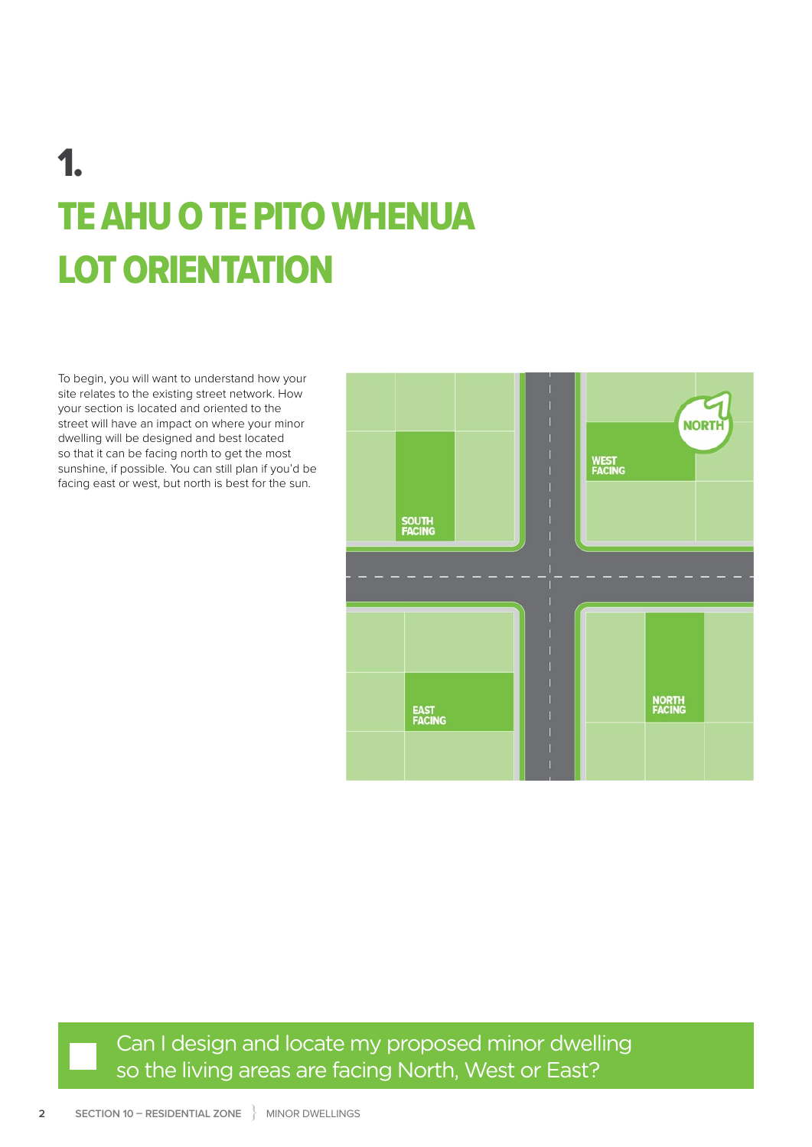# 1. TE AHU O TE PITO WHENUA LOT ORIENTATION

To begin, you will want to understand how your site relates to the existing street network. How your section is located and oriented to the street will have an impact on where your minor dwelling will be designed and best located so that it can be facing north to get the most sunshine, if possible. You can still plan if you'd be facing east or west, but north is best for the sun.



Can I design and locate my proposed minor dwelling so the living areas are facing North, West or East?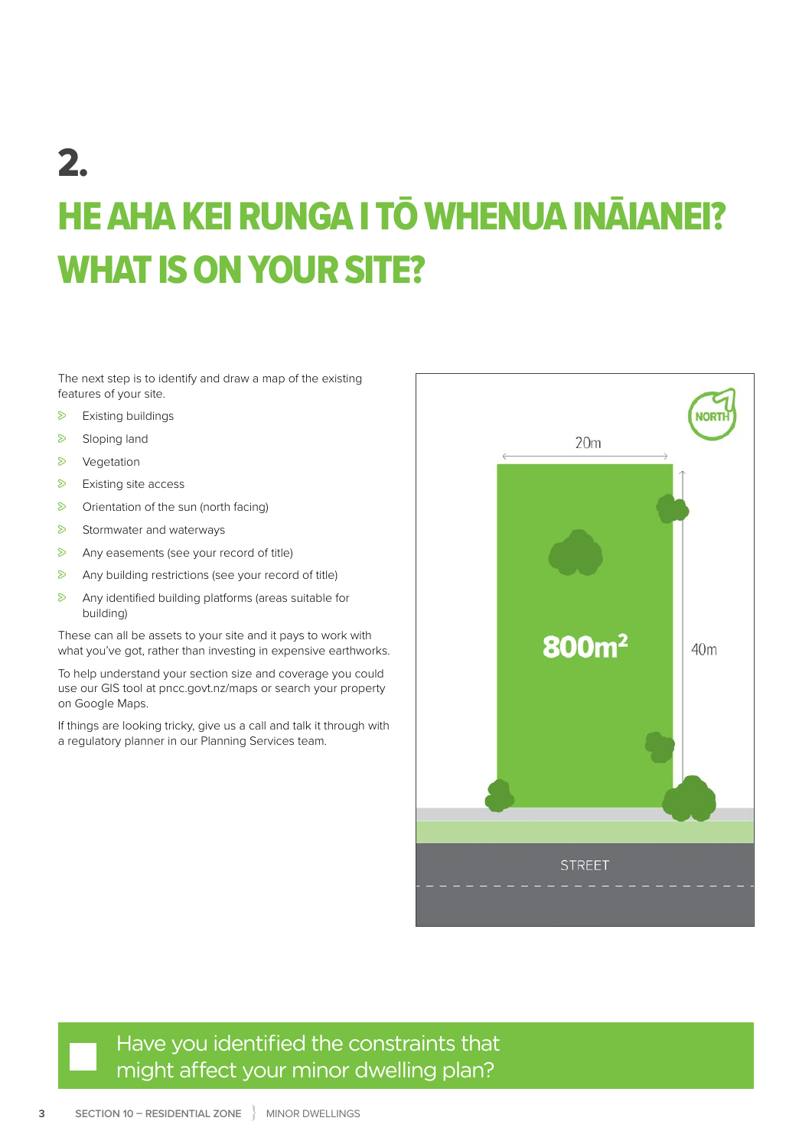## 2. HE AHA KEI RUNGA I TŌ WHENUA INĀIANEI? WHAT IS ON YOUR SITE?

The next step is to identify and draw a map of the existing features of your site.

- $\triangleright$  Existing buildings
- Sloping land
- **>** Vegetation
- $\triangleright$  Existing site access
- $\triangleright$  Orientation of the sun (north facing)
- $\triangleright$  Stormwater and waterways
- $\triangleright$  Any easements (see your record of title)
- $\triangleright$  Any building restrictions (see your record of title)
- $\triangleright$  Any identified building platforms (areas suitable for building)

These can all be assets to your site and it pays to work with what you've got, rather than investing in expensive earthworks.

To help understand your section size and coverage you could use our GIS tool at [pncc.govt.nz/maps](www.pncc.govt.nz/maps) or search your property on Google Maps.

If things are looking tricky, give us a call and talk it through with a regulatory planner in our Planning Services team.



### Have you identified the constraints that might affect your minor dwelling plan?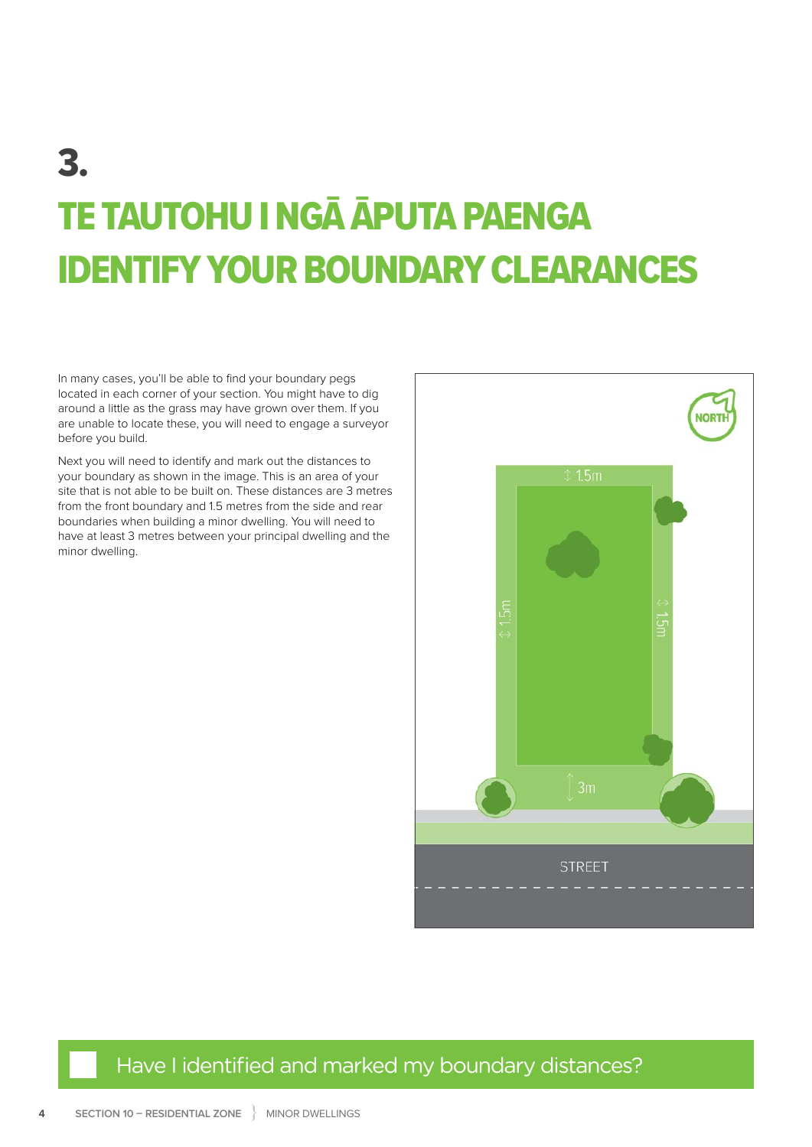## 3. TE TAUTOHU I NGĀ ĀPUTA PAENGA IDENTIFY YOUR BOUNDARY CLEARANCES

In many cases, you'll be able to find your boundary pegs located in each corner of your section. You might have to dig around a little as the grass may have grown over them. If you are unable to locate these, you will need to engage a surveyor before you build.

Next you will need to identify and mark out the distances to your boundary as shown in the image. This is an area of your site that is not able to be built on. These distances are 3 metres from the front boundary and 1.5 metres from the side and rear boundaries when building a minor dwelling. You will need to have at least 3 metres between your principal dwelling and the minor dwelling.



### Have I identified and marked my boundary distances?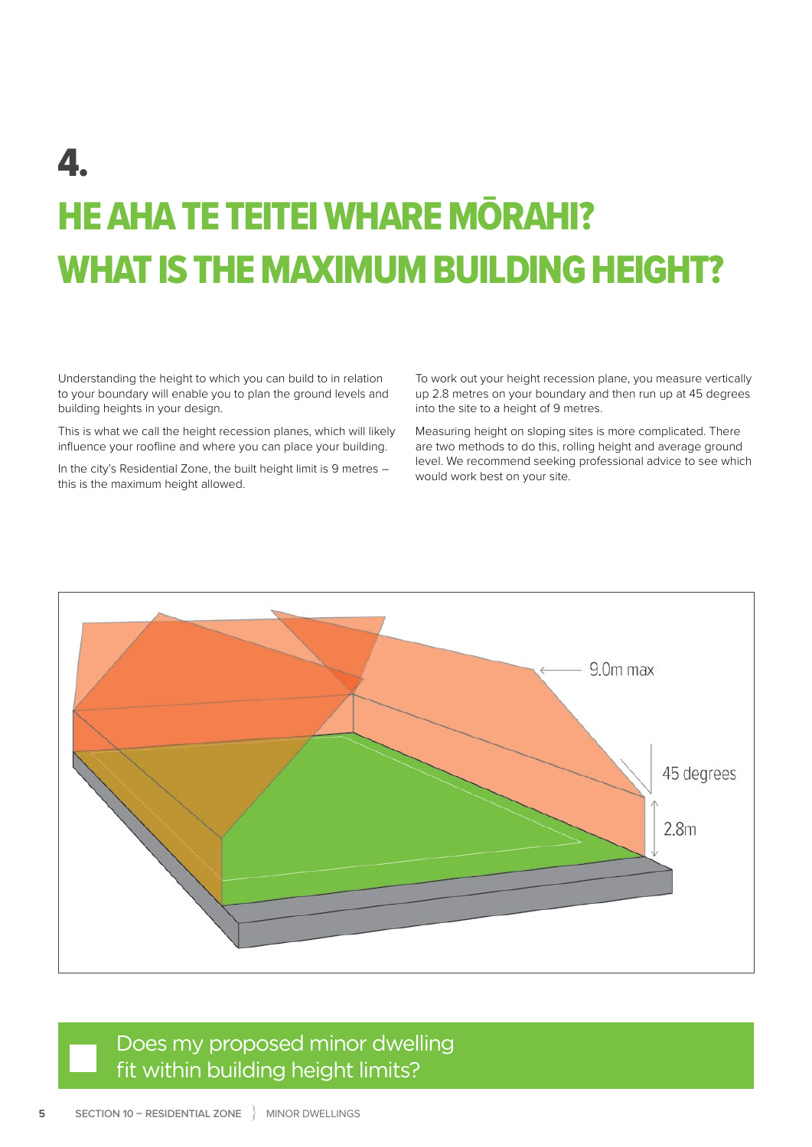# 4. HE AHA TE TEITEI WHARE MŌRAHI? WHAT IS THE MAXIMUM BUILDING HEIGHT?

Understanding the height to which you can build to in relation to your boundary will enable you to plan the ground levels and building heights in your design.

This is what we call the height recession planes, which will likely influence your roofline and where you can place your building.

In the city's Residential Zone, the built height limit is 9 metres – this is the maximum height allowed.

To work out your height recession plane, you measure vertically up 2.8 metres on your boundary and then run up at 45 degrees into the site to a height of 9 metres.

Measuring height on sloping sites is more complicated. There are two methods to do this, rolling height and average ground level. We recommend seeking professional advice to see which would work best on your site.



### Does my proposed minor dwelling fit within building height limits?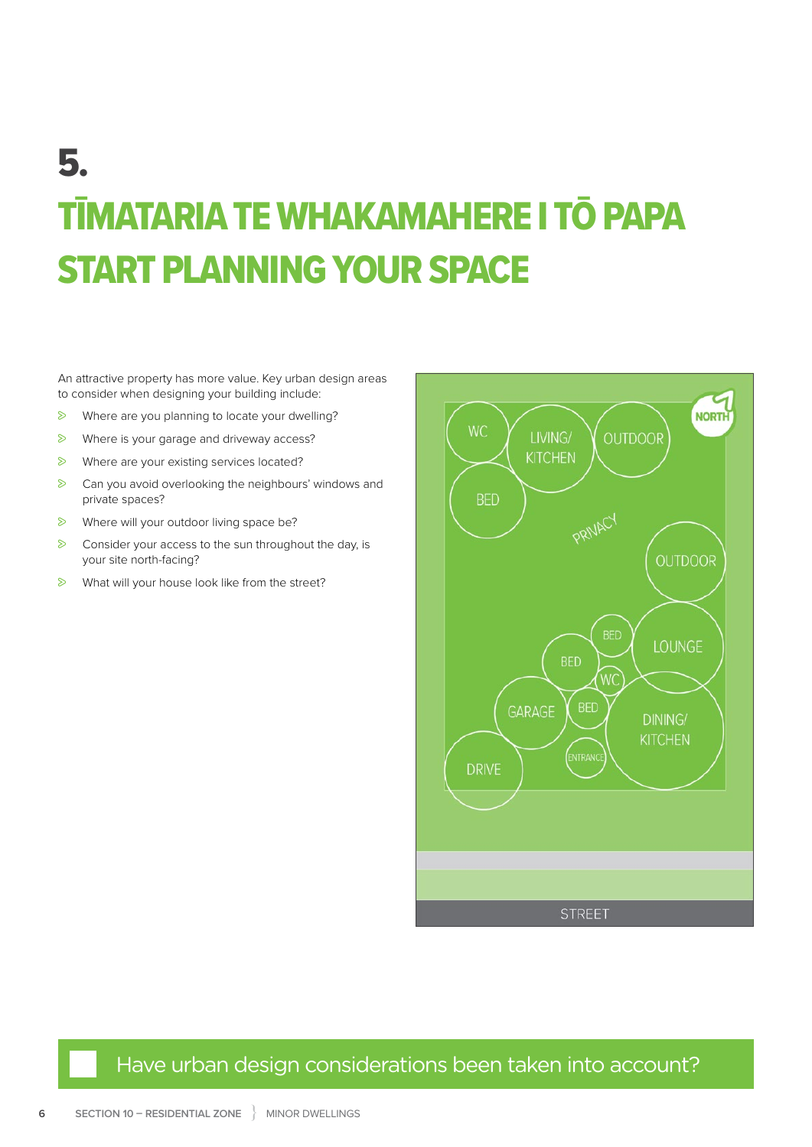# 5. TĪMATARIA TE WHAKAMAHERE I TŌ PAPA START PLANNING YOUR SPACE

An attractive property has more value. Key urban design areas to consider when designing your building include:

- $\triangleright$  Where are you planning to locate your dwelling?
- $\triangleright$  Where is your garage and driveway access?
- $\triangleright$  Where are your existing services located?
- $\triangleright$  Can you avoid overlooking the neighbours' windows and private spaces?
- $\triangleright$  Where will your outdoor living space be?
- $\triangleright$  Consider your access to the sun throughout the day, is your site north-facing?
- $\triangleright$  What will your house look like from the street?



### Have urban design considerations been taken into account?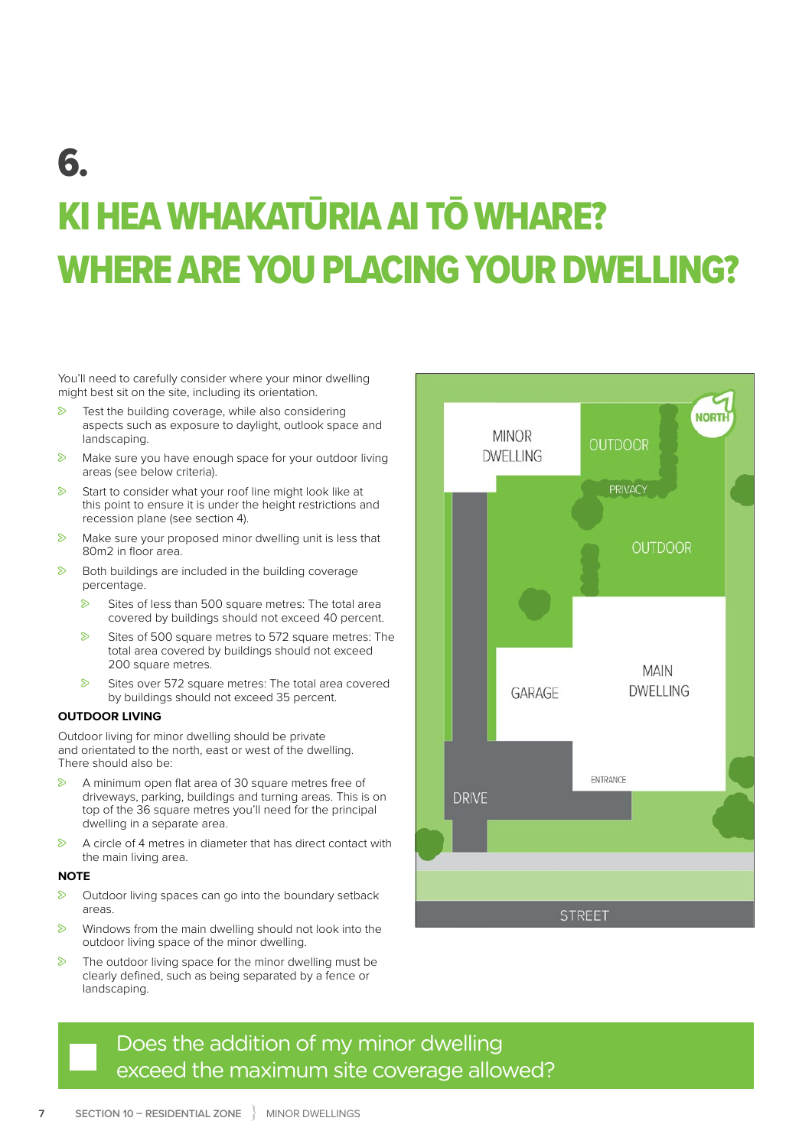## 6. KI HEA WHAKATŪRIA AI TŌ WHARE? WHERE ARE YOU PLACING YOUR DWELLING?

You'll need to carefully consider where your minor dwelling might best sit on the site, including its orientation.

- $\triangleright$  Test the building coverage, while also considering aspects such as exposure to daylight, outlook space and landscaping.
- $\triangleright$  Make sure you have enough space for your outdoor living areas (see below criteria).
- $\triangleright$  Start to consider what your roof line might look like at this point to ensure it is under the height restrictions and recession plane (see section 4).
- $\triangleright$  Make sure your proposed minor dwelling unit is less that 80m2 in floor area.
- $\triangleright$  Both buildings are included in the building coverage percentage.
	- $\triangleright$  Sites of less than 500 square metres: The total area covered by buildings should not exceed 40 percent.
	- $\triangleright$  Sites of 500 square metres to 572 square metres: The total area covered by buildings should not exceed 200 square metres.
	- $\triangleright$  Sites over 572 square metres: The total area covered by buildings should not exceed 35 percent.

#### **OUTDOOR LIVING**

Outdoor living for minor dwelling should be private and orientated to the north, east or west of the dwelling. There should also be:

- $\triangleright$  A minimum open flat area of 30 square metres free of driveways, parking, buildings and turning areas. This is on top of the 36 square metres you'll need for the principal dwelling in a separate area.
- $\triangleright$  A circle of 4 metres in diameter that has direct contact with the main living area.

#### **NOTE**

- $\triangleright$  Outdoor living spaces can go into the boundary setback areas.
- $\triangleright$  Windows from the main dwelling should not look into the outdoor living space of the minor dwelling.
- $\triangleright$  The outdoor living space for the minor dwelling must be clearly defined, such as being separated by a fence or landscaping.



### Does the addition of my minor dwelling exceed the maximum site coverage allowed?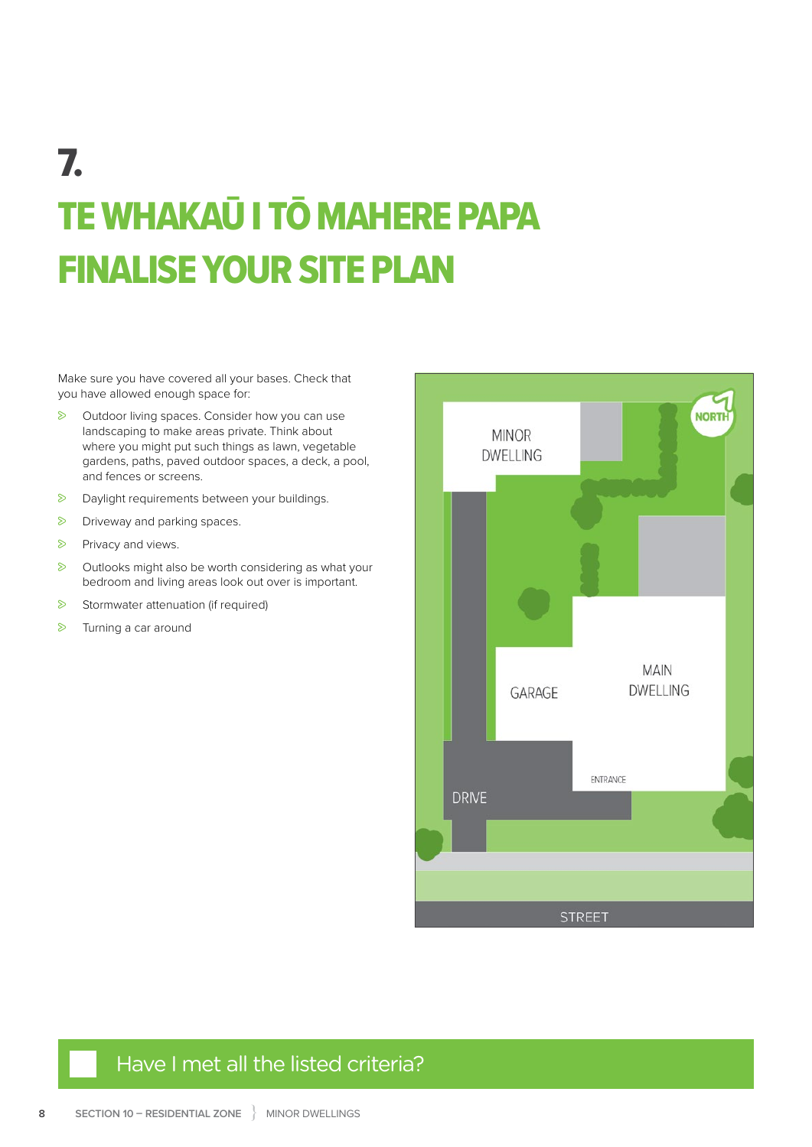# 7. TE WHAKAŪ I TŌ MAHERE PAPA FINALISE YOUR SITE PLAN

Make sure you have covered all your bases. Check that you have allowed enough space for:

- $\triangleright$  Outdoor living spaces. Consider how you can use landscaping to make areas private. Think about where you might put such things as lawn, vegetable gardens, paths, paved outdoor spaces, a deck, a pool, and fences or screens.
- $\triangleright$  Daylight requirements between your buildings.
- $\triangleright$  Driveway and parking spaces.
- Privacy and views.
- $\triangleright$  Outlooks might also be worth considering as what your bedroom and living areas look out over is important.
- $\triangleright$  Stormwater attenuation (if required)
- $\triangleright$  Turning a car around



### Have I met all the listed criteria?